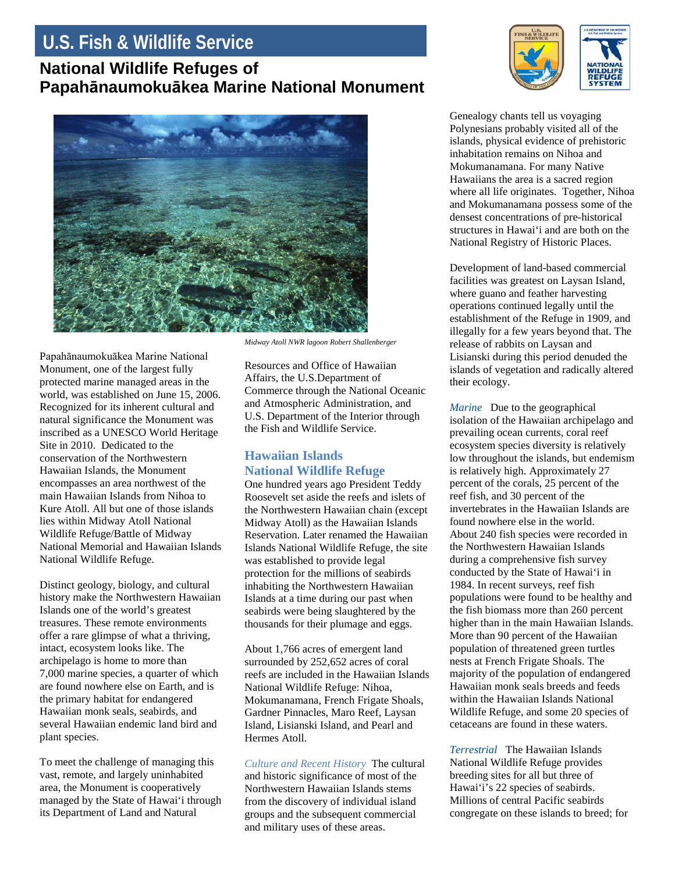## **U.S. Fish & Wildlife Service**

## **National Wildlife Refuges of Papahānaumokuākea Marine National Monument**



Papahānaumokuākea Marine National Monument, one of the largest fully protected marine managed areas in the world, was established on June 15, 2006. Recognized for its inherent cultural and natural significance the Monument was inscribed as a UNESCO World Heritage Site in 2010. Dedicated to the conservation of the Northwestern Hawaiian Islands, the Monument encompasses an area northwest of the main Hawaiian Islands from Nihoa to Kure Atoll. All but one of those islands lies within Midway Atoll National Wildlife Refuge/Battle of Midway National Memorial and Hawaiian Islands National Wildlife Refuge.

Distinct geology, biology, and cultural history make the Northwestern Hawaiian Islands one of the world's greatest treasures. These remote environments offer a rare glimpse of what a thriving, intact, ecosystem looks like. The archipelago is home to more than 7,000 marine species, a quarter of which are found nowhere else on Earth, and is the primary habitat for endangered Hawaiian monk seals, seabirds, and several Hawaiian endemic land bird and plant species.

To meet the challenge of managing this vast, remote, and largely uninhabited area, the Monument is cooperatively managed by the State of Hawai'i through its Department of Land and Natural

*Midway Atoll NWR lagoon Robert Shallenberger*

Resources and Office of Hawaiian Affairs, the U.S.Department of Commerce through the National Oceanic and Atmospheric Administration, and U.S. Department of the Interior through the Fish and Wildlife Service.

## **Hawaiian Islands National Wildlife Refuge**

One hundred years ago President Teddy Roosevelt set aside the reefs and islets of the Northwestern Hawaiian chain (except Midway Atoll) as the Hawaiian Islands Reservation. Later renamed the Hawaiian Islands National Wildlife Refuge, the site was established to provide legal protection for the millions of seabirds inhabiting the Northwestern Hawaiian Islands at a time during our past when seabirds were being slaughtered by the thousands for their plumage and eggs.

About 1,766 acres of emergent land surrounded by 252,652 acres of coral reefs are included in the Hawaiian Islands National Wildlife Refuge: Nihoa, Mokumanamana, French Frigate Shoals, Gardner Pinnacles, Maro Reef, Laysan Island, Lisianski Island, and Pearl and Hermes Atoll.

*Culture and Recent History* The cultural and historic significance of most of the Northwestern Hawaiian Islands stems from the discovery of individual island groups and the subsequent commercial and military uses of these areas.



Genealogy chants tell us voyaging Polynesians probably visited all of the islands, physical evidence of prehistoric inhabitation remains on Nihoa and Mokumanamana. For many Native Hawaiians the area is a sacred region where all life originates. Together, Nihoa and Mokumanamana possess some of the densest concentrations of pre-historical structures in Hawai'i and are both on the National Registry of Historic Places.

Development of land-based commercial facilities was greatest on Laysan Island, where guano and feather harvesting operations continued legally until the establishment of the Refuge in 1909, and illegally for a few years beyond that. The release of rabbits on Laysan and Lisianski during this period denuded the islands of vegetation and radically altered their ecology.

*Marine* Due to the geographical isolation of the Hawaiian archipelago and prevailing ocean currents, coral reef ecosystem species diversity is relatively low throughout the islands, but endemism is relatively high. Approximately 27 percent of the corals, 25 percent of the reef fish, and 30 percent of the invertebrates in the Hawaiian Islands are found nowhere else in the world. About 240 fish species were recorded in the Northwestern Hawaiian Islands during a comprehensive fish survey conducted by the State of Hawai'i in 1984. In recent surveys, reef fish populations were found to be healthy and the fish biomass more than 260 percent higher than in the main Hawaiian Islands. More than 90 percent of the Hawaiian population of threatened green turtles nests at French Frigate Shoals. The majority of the population of endangered Hawaiian monk seals breeds and feeds within the Hawaiian Islands National Wildlife Refuge, and some 20 species of cetaceans are found in these waters.

*Terrestrial* The Hawaiian Islands National Wildlife Refuge provides breeding sites for all but three of Hawai'i's 22 species of seabirds. Millions of central Pacific seabirds congregate on these islands to breed; for